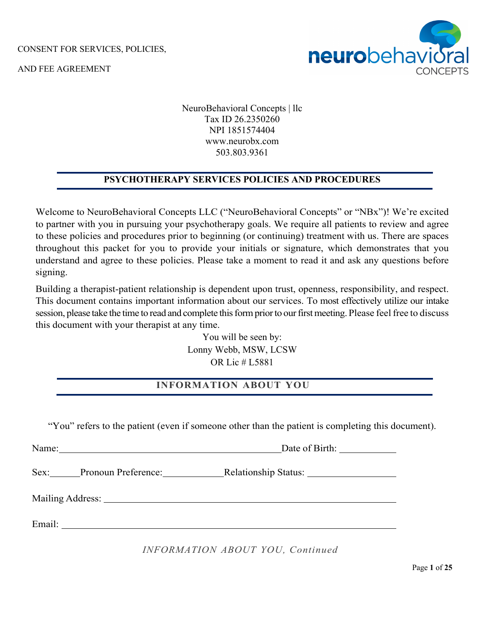

AND FEE AGREEMENT

NeuroBehavioral Concepts | llc Tax ID 26.2350260 NPI 1851574404 www.neurobx.com 503.803.9361

## **PSYCHOTHERAPY SERVICES POLICIES AND PROCEDURES**

Welcome to NeuroBehavioral Concepts LLC ("NeuroBehavioral Concepts" or "NBx")! We're excited to partner with you in pursuing your psychotherapy goals. We require all patients to review and agree to these policies and procedures prior to beginning (or continuing) treatment with us. There are spaces throughout this packet for you to provide your initials or signature, which demonstrates that you understand and agree to these policies. Please take a moment to read it and ask any questions before signing.

Building a therapist-patient relationship is dependent upon trust, openness, responsibility, and respect. This document contains important information about our services. To most effectively utilize our intake session, please take the time to read and complete this form prior to our first meeting. Please feel free to discuss this document with your therapist at any time.

> You will be seen by: Lonny Webb, MSW, LCSW OR Lic # L5881

## **INFORMATION ABOUT YOU**

"You" refers to the patient (even if someone other than the patient is completing this document).

Name: Date of Birth: Sex: Pronoun Preference: Relationship Status: Mailing Address: Email: **Email:** The contract of the contract of the contract of the contract of the contract of the contract of the contract of the contract of the contract of the contract of the contract of the contract of the contract o

## *INFORMATION ABOUT YOU, Continued*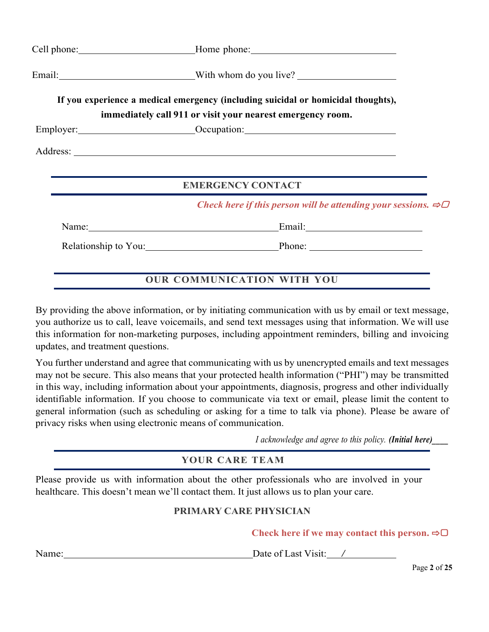| Cell phone: ________________________________Home phone: _________________________                                                                                                                                              |
|--------------------------------------------------------------------------------------------------------------------------------------------------------------------------------------------------------------------------------|
| Email: __________________________________With whom do you live?                                                                                                                                                                |
| If you experience a medical emergency (including suicidal or homicidal thoughts),<br>immediately call 911 or visit your nearest emergency room.                                                                                |
| Employer: <u>Cocupation:</u> Cocupation: Cocupation:                                                                                                                                                                           |
|                                                                                                                                                                                                                                |
| <b>EMERGENCY CONTACT</b>                                                                                                                                                                                                       |
| Check here if this person will be attending your sessions. $\Rightarrow \Box$                                                                                                                                                  |
| Name: Name and the same state of the state of the state of the state of the state of the state of the state of the state of the state of the state of the state of the state of the state of the state of the state of the sta |
| Relationship to You: Phone: Phone:                                                                                                                                                                                             |
|                                                                                                                                                                                                                                |

## **OUR COMMUNICATION WITH YOU**

By providing the above information, or by initiating communication with us by email or text message, you authorize us to call, leave voicemails, and send text messages using that information. We will use this information for non-marketing purposes, including appointment reminders, billing and invoicing updates, and treatment questions.

You further understand and agree that communicating with us by unencrypted emails and text messages may not be secure. This also means that your protected health information ("PHI") may be transmitted in this way, including information about your appointments, diagnosis, progress and other individually identifiable information. If you choose to communicate via text or email, please limit the content to general information (such as scheduling or asking for a time to talk via phone). Please be aware of privacy risks when using electronic means of communication.

*I acknowledge and agree to this policy. (Initial here)\_\_\_\_*

## **YOUR CARE TEAM**

Please provide us with information about the other professionals who are involved in your healthcare. This doesn't mean we'll contact them. It just allows us to plan your care.

## **PRIMARY CARE PHYSICIAN**

**Check here if we may contact this person.** ⇨▢

Name: Date of Last Visit: /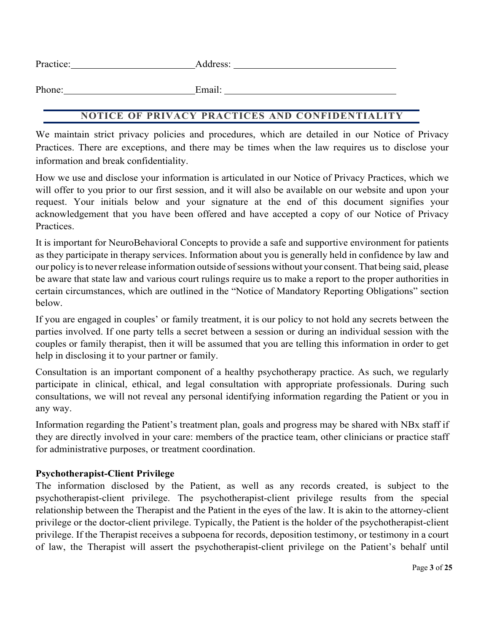| Practice: | uress. |
|-----------|--------|
|           |        |

Phone: Email:

## **NOTICE OF PRIVACY PRACTICES AND CONFIDENTIALITY**

We maintain strict privacy policies and procedures, which are detailed in our Notice of Privacy Practices. There are exceptions, and there may be times when the law requires us to disclose your information and break confidentiality.

How we use and disclose your information is articulated in our Notice of Privacy Practices, which we will offer to you prior to our first session, and it will also be available on our website and upon your request. Your initials below and your signature at the end of this document signifies your acknowledgement that you have been offered and have accepted a copy of our Notice of Privacy Practices.

It is important for NeuroBehavioral Concepts to provide a safe and supportive environment for patients as they participate in therapy services. Information about you is generally held in confidence by law and our policy is to never release information outside of sessions without your consent. That being said, please be aware that state law and various court rulings require us to make a report to the proper authorities in certain circumstances, which are outlined in the "Notice of Mandatory Reporting Obligations" section below.

If you are engaged in couples' or family treatment, it is our policy to not hold any secrets between the parties involved. If one party tells a secret between a session or during an individual session with the couples or family therapist, then it will be assumed that you are telling this information in order to get help in disclosing it to your partner or family.

Consultation is an important component of a healthy psychotherapy practice. As such, we regularly participate in clinical, ethical, and legal consultation with appropriate professionals. During such consultations, we will not reveal any personal identifying information regarding the Patient or you in any way.

Information regarding the Patient's treatment plan, goals and progress may be shared with NBx staff if they are directly involved in your care: members of the practice team, other clinicians or practice staff for administrative purposes, or treatment coordination.

## **Psychotherapist-Client Privilege**

The information disclosed by the Patient, as well as any records created, is subject to the psychotherapist-client privilege. The psychotherapist-client privilege results from the special relationship between the Therapist and the Patient in the eyes of the law. It is akin to the attorney-client privilege or the doctor-client privilege. Typically, the Patient is the holder of the psychotherapist-client privilege. If the Therapist receives a subpoena for records, deposition testimony, or testimony in a court of law, the Therapist will assert the psychotherapist-client privilege on the Patient's behalf until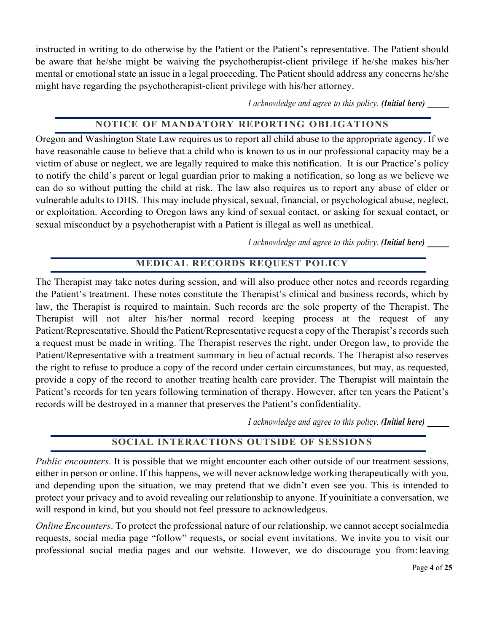instructed in writing to do otherwise by the Patient or the Patient's representative. The Patient should be aware that he/she might be waiving the psychotherapist-client privilege if he/she makes his/her mental or emotional state an issue in a legal proceeding. The Patient should address any concerns he/she might have regarding the psychotherapist-client privilege with his/her attorney.

*I acknowledge and agree to this policy. (Initial here) \_\_\_\_*

## **NOTICE OF MANDATORY REPORTING OBLIGATIONS**

Oregon and Washington State Law requires us to report all child abuse to the appropriate agency. If we have reasonable cause to believe that a child who is known to us in our professional capacity may be a victim of abuse or neglect, we are legally required to make this notification. It is our Practice's policy to notify the child's parent or legal guardian prior to making a notification, so long as we believe we can do so without putting the child at risk. The law also requires us to report any abuse of elder or vulnerable adults to DHS. This may include physical, sexual, financial, or psychological abuse, neglect, or exploitation. According to Oregon laws any kind of sexual contact, or asking for sexual contact, or sexual misconduct by a psychotherapist with a Patient is illegal as well as unethical.

*I acknowledge and agree to this policy. (Initial here) \_\_\_\_*

# **MEDICAL RECORDS REQUEST POLICY**

The Therapist may take notes during session, and will also produce other notes and records regarding the Patient's treatment. These notes constitute the Therapist's clinical and business records, which by law, the Therapist is required to maintain. Such records are the sole property of the Therapist. The Therapist will not alter his/her normal record keeping process at the request of any Patient/Representative. Should the Patient/Representative request a copy of the Therapist's records such a request must be made in writing. The Therapist reserves the right, under Oregon law, to provide the Patient/Representative with a treatment summary in lieu of actual records. The Therapist also reserves the right to refuse to produce a copy of the record under certain circumstances, but may, as requested, provide a copy of the record to another treating health care provider. The Therapist will maintain the Patient's records for ten years following termination of therapy. However, after ten years the Patient's records will be destroyed in a manner that preserves the Patient's confidentiality.

*I acknowledge and agree to this policy. (Initial here) \_\_\_\_*

## **SOCIAL INTERACTIONS OUTSIDE OF SESSIONS**

*Public encounters*. It is possible that we might encounter each other outside of our treatment sessions, either in person or online. If this happens, we will never acknowledge working therapeutically with you, and depending upon the situation, we may pretend that we didn't even see you. This is intended to protect your privacy and to avoid revealing our relationship to anyone. If youinitiate a conversation, we will respond in kind, but you should not feel pressure to acknowledgeus.

*Online Encounters*. To protect the professional nature of our relationship, we cannot accept socialmedia requests, social media page "follow" requests, or social event invitations. We invite you to visit our professional social media pages and our website. However, we do discourage you from: leaving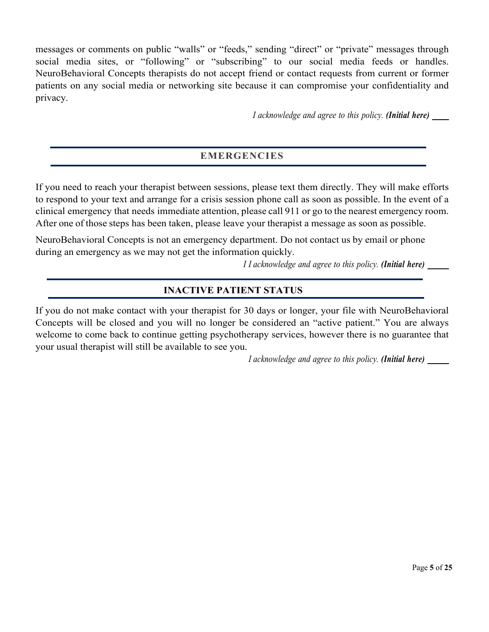messages or comments on public "walls" or "feeds," sending "direct" or "private" messages through social media sites, or "following" or "subscribing" to our social media feeds or handles. NeuroBehavioral Concepts therapists do not accept friend or contact requests from current or former patients on any social media or networking site because it can compromise your confidentiality and privacy.

*I acknowledge and agree to this policy. (Initial here) \_\_\_*

## **EMERGENCIES**

If you need to reach your therapist between sessions, please text them directly. They will make efforts to respond to your text and arrange for a crisis session phone call as soon as possible. In the event of a clinical emergency that needs immediate attention, please call 911 or go to the nearest emergency room. After one of those steps has been taken, please leave your therapist a message as soon as possible.

NeuroBehavioral Concepts is not an emergency department. Do not contact us by email or phone during an emergency as we may not get the information quickly.

*I I acknowledge and agree to this policy. (Initial here) \_\_\_\_*

## **INACTIVE PATIENT STATUS**

If you do not make contact with your therapist for 30 days or longer, your file with NeuroBehavioral Concepts will be closed and you will no longer be considered an "active patient." You are always welcome to come back to continue getting psychotherapy services, however there is no guarantee that your usual therapist will still be available to see you.

*I acknowledge and agree to this policy. (Initial here) \_\_\_\_*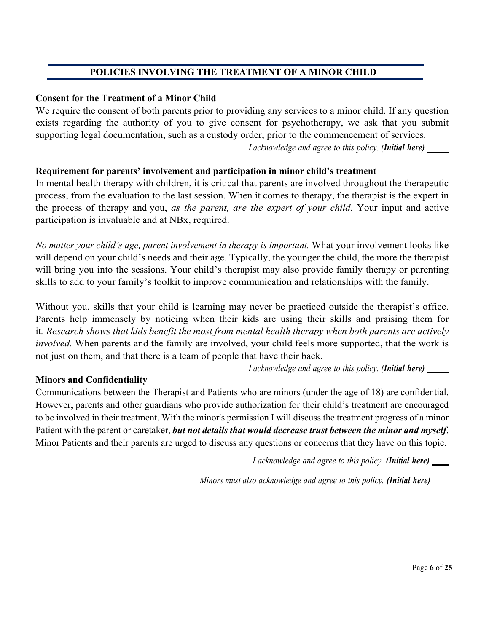## **POLICIES INVOLVING THE TREATMENT OF A MINOR CHILD**

## **Consent for the Treatment of a Minor Child**

We require the consent of both parents prior to providing any services to a minor child. If any question exists regarding the authority of you to give consent for psychotherapy, we ask that you submit supporting legal documentation, such as a custody order, prior to the commencement of services. *I acknowledge and agree to this policy. (Initial here) \_\_\_\_*

## **Requirement for parents' involvement and participation in minor child's treatment**

In mental health therapy with children, it is critical that parents are involved throughout the therapeutic process, from the evaluation to the last session. When it comes to therapy, the therapist is the expert in the process of therapy and you, *as the parent, are the expert of your child*. Your input and active participation is invaluable and at NBx, required.

*No matter your child's age, parent involvement in therapy is important.* What your involvement looks like will depend on your child's needs and their age. Typically, the younger the child, the more the therapist will bring you into the sessions. Your child's therapist may also provide family therapy or parenting skills to add to your family's toolkit to improve communication and relationships with the family.

Without you, skills that your child is learning may never be practiced outside the therapist's office. Parents help immensely by noticing when their kids are using their skills and praising them for it*. Research shows that kids benefit the most from mental health therapy when both parents are actively involved.* When parents and the family are involved, your child feels more supported, that the work is not just on them, and that there is a team of people that have their back.

*I acknowledge and agree to this policy. (Initial here) \_\_\_\_*

## **Minors and Confidentiality**

Communications between the Therapist and Patients who are minors (under the age of 18) are confidential. However, parents and other guardians who provide authorization for their child's treatment are encouraged to be involved in their treatment. With the minor's permission I will discuss the treatment progress of a minor Patient with the parent or caretaker, *but not details that would decrease trust between the minor and myself*. Minor Patients and their parents are urged to discuss any questions or concerns that they have on this topic.

*I acknowledge and agree to this policy. (Initial here) \_\_\_*

*Minors must also acknowledge and agree to this policy. (Initial here) \_\_\_\_*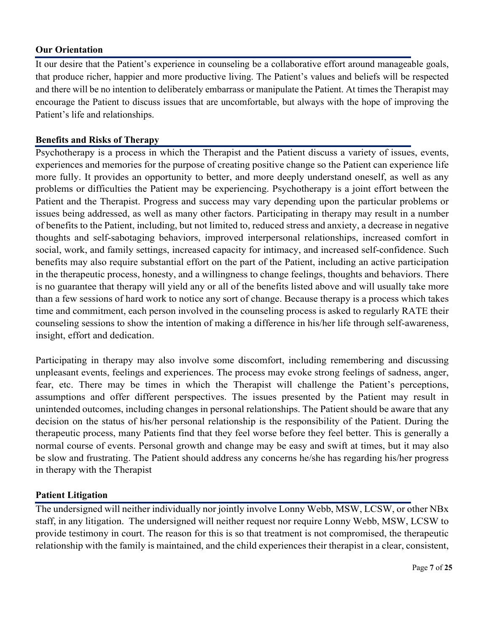#### **Our Orientation**

It our desire that the Patient's experience in counseling be a collaborative effort around manageable goals, that produce richer, happier and more productive living. The Patient's values and beliefs will be respected and there will be no intention to deliberately embarrass or manipulate the Patient. At times the Therapist may encourage the Patient to discuss issues that are uncomfortable, but always with the hope of improving the Patient's life and relationships.

#### **Benefits and Risks of Therapy**

Psychotherapy is a process in which the Therapist and the Patient discuss a variety of issues, events, experiences and memories for the purpose of creating positive change so the Patient can experience life more fully. It provides an opportunity to better, and more deeply understand oneself, as well as any problems or difficulties the Patient may be experiencing. Psychotherapy is a joint effort between the Patient and the Therapist. Progress and success may vary depending upon the particular problems or issues being addressed, as well as many other factors. Participating in therapy may result in a number of benefits to the Patient, including, but not limited to, reduced stress and anxiety, a decrease in negative thoughts and self-sabotaging behaviors, improved interpersonal relationships, increased comfort in social, work, and family settings, increased capacity for intimacy, and increased self-confidence. Such benefits may also require substantial effort on the part of the Patient, including an active participation in the therapeutic process, honesty, and a willingness to change feelings, thoughts and behaviors. There is no guarantee that therapy will yield any or all of the benefits listed above and will usually take more than a few sessions of hard work to notice any sort of change. Because therapy is a process which takes time and commitment, each person involved in the counseling process is asked to regularly RATE their counseling sessions to show the intention of making a difference in his/her life through self-awareness, insight, effort and dedication.

Participating in therapy may also involve some discomfort, including remembering and discussing unpleasant events, feelings and experiences. The process may evoke strong feelings of sadness, anger, fear, etc. There may be times in which the Therapist will challenge the Patient's perceptions, assumptions and offer different perspectives. The issues presented by the Patient may result in unintended outcomes, including changes in personal relationships. The Patient should be aware that any decision on the status of his/her personal relationship is the responsibility of the Patient. During the therapeutic process, many Patients find that they feel worse before they feel better. This is generally a normal course of events. Personal growth and change may be easy and swift at times, but it may also be slow and frustrating. The Patient should address any concerns he/she has regarding his/her progress in therapy with the Therapist

## **Patient Litigation**

The undersigned will neither individually nor jointly involve Lonny Webb, MSW, LCSW, or other NBx staff, in any litigation. The undersigned will neither request nor require Lonny Webb, MSW, LCSW to provide testimony in court. The reason for this is so that treatment is not compromised, the therapeutic relationship with the family is maintained, and the child experiences their therapist in a clear, consistent,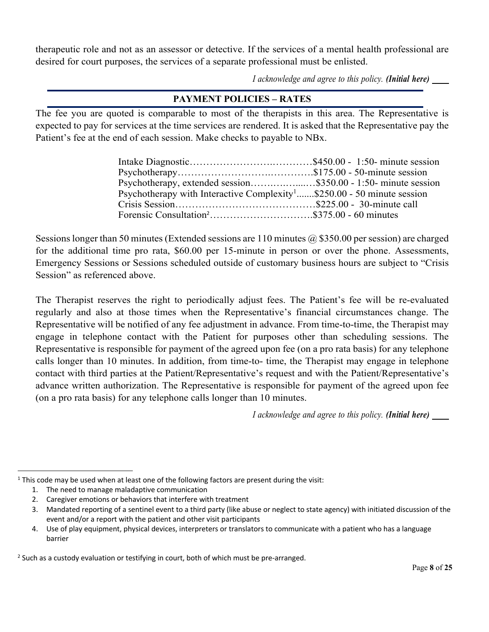therapeutic role and not as an assessor or detective. If the services of a mental health professional are desired for court purposes, the services of a separate professional must be enlisted.

*I acknowledge and agree to this policy. (Initial here) \_\_\_*

## **PAYMENT POLICIES – RATES**

The fee you are quoted is comparable to most of the therapists in this area. The Representative is expected to pay for services at the time services are rendered. It is asked that the Representative pay the Patient's fee at the end of each session. Make checks to payable to NBx.

| Psychotherapy, extended session\$350.00 - 1:50- minute session                      |  |
|-------------------------------------------------------------------------------------|--|
| Psychotherapy with Interactive Complexity <sup>1</sup> \$250.00 - 50 minute session |  |
|                                                                                     |  |
|                                                                                     |  |

Sessions longer than 50 minutes (Extended sessions are 110 minutes  $\omega$  \$350.00 per session) are charged for the additional time pro rata, \$60.00 per 15-minute in person or over the phone. Assessments, Emergency Sessions or Sessions scheduled outside of customary business hours are subject to "Crisis Session" as referenced above.

The Therapist reserves the right to periodically adjust fees. The Patient's fee will be re-evaluated regularly and also at those times when the Representative's financial circumstances change. The Representative will be notified of any fee adjustment in advance. From time-to-time, the Therapist may engage in telephone contact with the Patient for purposes other than scheduling sessions. The Representative is responsible for payment of the agreed upon fee (on a pro rata basis) for any telephone calls longer than 10 minutes. In addition, from time-to- time, the Therapist may engage in telephone contact with third parties at the Patient/Representative's request and with the Patient/Representative's advance written authorization. The Representative is responsible for payment of the agreed upon fee (on a pro rata basis) for any telephone calls longer than 10 minutes.

*I acknowledge and agree to this policy. (Initial here) \_\_\_*

 $1$  This code may be used when at least one of the following factors are present during the visit:

<sup>1.</sup> The need to manage maladaptive communication

<sup>2.</sup> Caregiver emotions or behaviors that interfere with treatment

<sup>3.</sup> Mandated reporting of a sentinel event to a third party (like abuse or neglect to state agency) with initiated discussion of the event and/or a report with the patient and other visit participants

<sup>4.</sup> Use of play equipment, physical devices, interpreters or translators to communicate with a patient who has a language barrier

 $<sup>2</sup>$  Such as a custody evaluation or testifying in court, both of which must be pre-arranged.</sup>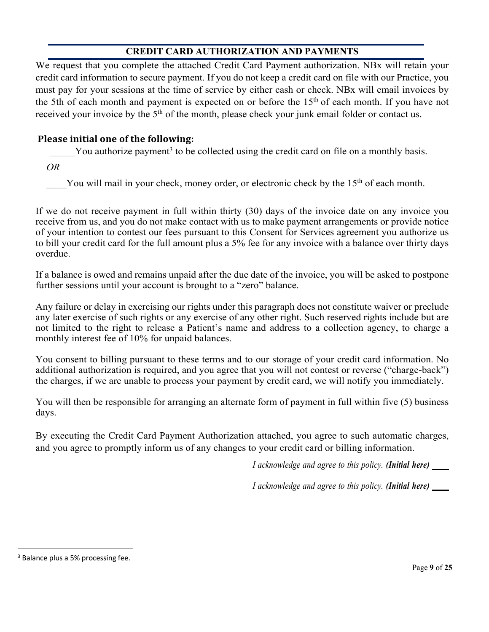# **CREDIT CARD AUTHORIZATION AND PAYMENTS**

We request that you complete the attached Credit Card Payment authorization. NBx will retain your credit card information to secure payment. If you do not keep a credit card on file with our Practice, you must pay for your sessions at the time of service by either cash or check. NBx will email invoices by the 5th of each month and payment is expected on or before the  $15<sup>th</sup>$  of each month. If you have not received your invoice by the 5<sup>th</sup> of the month, please check your junk email folder or contact us.

## **Please initial one of the following:**

You authorize payment<sup>3</sup> to be collected using the credit card on file on a monthly basis.

*OR*

You will mail in your check, money order, or electronic check by the 15<sup>th</sup> of each month.

If we do not receive payment in full within thirty (30) days of the invoice date on any invoice you receive from us, and you do not make contact with us to make payment arrangements or provide notice of your intention to contest our fees pursuant to this Consent for Services agreement you authorize us to bill your credit card for the full amount plus a 5% fee for any invoice with a balance over thirty days overdue.

If a balance is owed and remains unpaid after the due date of the invoice, you will be asked to postpone further sessions until your account is brought to a "zero" balance.

Any failure or delay in exercising our rights under this paragraph does not constitute waiver or preclude any later exercise of such rights or any exercise of any other right. Such reserved rights include but are not limited to the right to release a Patient's name and address to a collection agency, to charge a monthly interest fee of 10% for unpaid balances.

You consent to billing pursuant to these terms and to our storage of your credit card information. No additional authorization is required, and you agree that you will not contest or reverse ("charge-back") the charges, if we are unable to process your payment by credit card, we will notify you immediately.

You will then be responsible for arranging an alternate form of payment in full within five (5) business days.

By executing the Credit Card Payment Authorization attached, you agree to such automatic charges, and you agree to promptly inform us of any changes to your credit card or billing information.

*I acknowledge and agree to this policy. (Initial here) \_\_\_*

*I acknowledge and agree to this policy. (Initial here) \_\_\_*

<sup>&</sup>lt;sup>3</sup> Balance plus a 5% processing fee.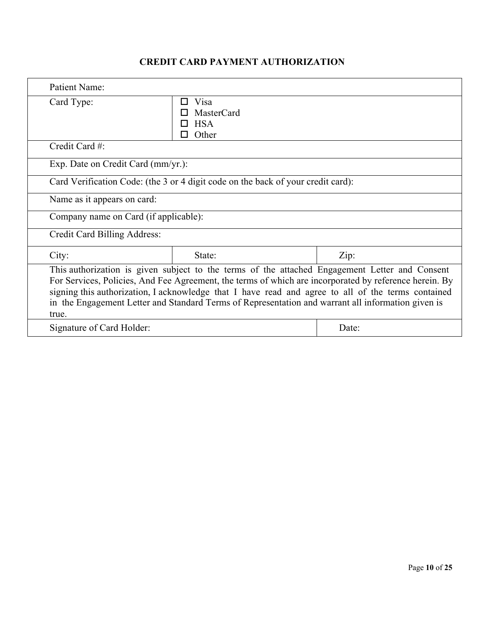# **CREDIT CARD PAYMENT AUTHORIZATION**

| <b>Patient Name:</b>                                                                                                                                                                                                                                                                                                                                                                                                          |                                                                                  |       |  |  |
|-------------------------------------------------------------------------------------------------------------------------------------------------------------------------------------------------------------------------------------------------------------------------------------------------------------------------------------------------------------------------------------------------------------------------------|----------------------------------------------------------------------------------|-------|--|--|
| Card Type:                                                                                                                                                                                                                                                                                                                                                                                                                    | Visa<br>ΙI<br>MasterCard<br><b>HSA</b><br>Other<br>П                             |       |  |  |
| Credit Card #:                                                                                                                                                                                                                                                                                                                                                                                                                |                                                                                  |       |  |  |
| Exp. Date on Credit Card (mm/yr.):                                                                                                                                                                                                                                                                                                                                                                                            |                                                                                  |       |  |  |
|                                                                                                                                                                                                                                                                                                                                                                                                                               | Card Verification Code: (the 3 or 4 digit code on the back of your credit card): |       |  |  |
| Name as it appears on card:                                                                                                                                                                                                                                                                                                                                                                                                   |                                                                                  |       |  |  |
|                                                                                                                                                                                                                                                                                                                                                                                                                               | Company name on Card (if applicable):                                            |       |  |  |
| Credit Card Billing Address:                                                                                                                                                                                                                                                                                                                                                                                                  |                                                                                  |       |  |  |
| City:                                                                                                                                                                                                                                                                                                                                                                                                                         | State:                                                                           | Zip:  |  |  |
| This authorization is given subject to the terms of the attached Engagement Letter and Consent<br>For Services, Policies, And Fee Agreement, the terms of which are incorporated by reference herein. By<br>signing this authorization, I acknowledge that I have read and agree to all of the terms contained<br>in the Engagement Letter and Standard Terms of Representation and warrant all information given is<br>true. |                                                                                  |       |  |  |
| Signature of Card Holder:                                                                                                                                                                                                                                                                                                                                                                                                     |                                                                                  | Date: |  |  |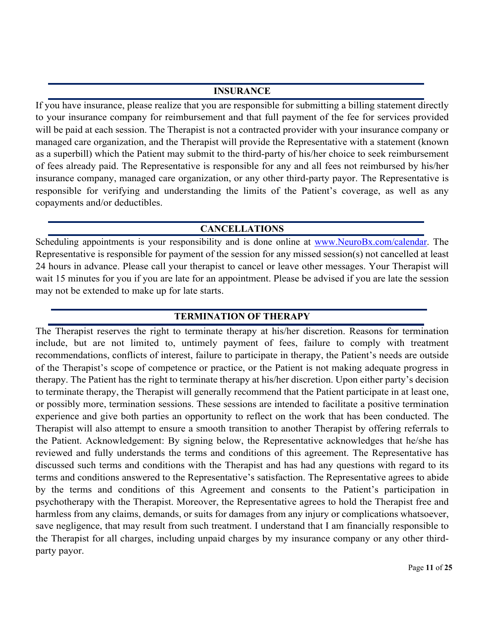#### **INSURANCE**

If you have insurance, please realize that you are responsible for submitting a billing statement directly to your insurance company for reimbursement and that full payment of the fee for services provided will be paid at each session. The Therapist is not a contracted provider with your insurance company or managed care organization, and the Therapist will provide the Representative with a statement (known as a superbill) which the Patient may submit to the third-party of his/her choice to seek reimbursement of fees already paid. The Representative is responsible for any and all fees not reimbursed by his/her insurance company, managed care organization, or any other third-party payor. The Representative is responsible for verifying and understanding the limits of the Patient's coverage, as well as any copayments and/or deductibles.

## **CANCELLATIONS**

Scheduling appointments is your responsibility and is done online at www.NeuroBx.com/calendar. The Representative is responsible for payment of the session for any missed session(s) not cancelled at least 24 hours in advance. Please call your therapist to cancel or leave other messages. Your Therapist will wait 15 minutes for you if you are late for an appointment. Please be advised if you are late the session may not be extended to make up for late starts.

# **TERMINATION OF THERAPY**

The Therapist reserves the right to terminate therapy at his/her discretion. Reasons for termination include, but are not limited to, untimely payment of fees, failure to comply with treatment recommendations, conflicts of interest, failure to participate in therapy, the Patient's needs are outside of the Therapist's scope of competence or practice, or the Patient is not making adequate progress in therapy. The Patient has the right to terminate therapy at his/her discretion. Upon either party's decision to terminate therapy, the Therapist will generally recommend that the Patient participate in at least one, or possibly more, termination sessions. These sessions are intended to facilitate a positive termination experience and give both parties an opportunity to reflect on the work that has been conducted. The Therapist will also attempt to ensure a smooth transition to another Therapist by offering referrals to the Patient. Acknowledgement: By signing below, the Representative acknowledges that he/she has reviewed and fully understands the terms and conditions of this agreement. The Representative has discussed such terms and conditions with the Therapist and has had any questions with regard to its terms and conditions answered to the Representative's satisfaction. The Representative agrees to abide by the terms and conditions of this Agreement and consents to the Patient's participation in psychotherapy with the Therapist. Moreover, the Representative agrees to hold the Therapist free and harmless from any claims, demands, or suits for damages from any injury or complications whatsoever, save negligence, that may result from such treatment. I understand that I am financially responsible to the Therapist for all charges, including unpaid charges by my insurance company or any other thirdparty payor.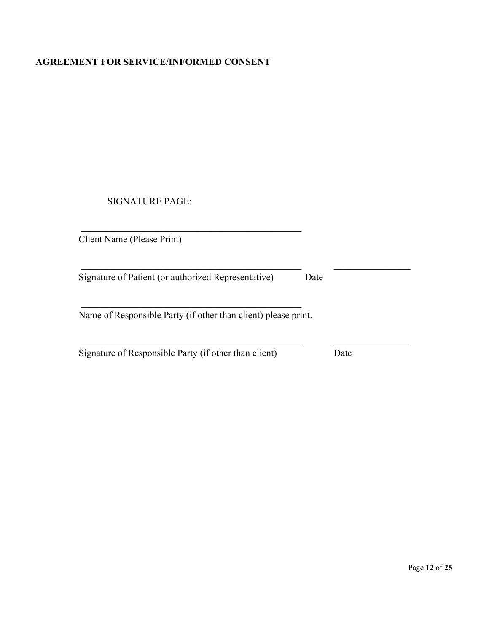#### **AGREEMENT FOR SERVICE/INFORMED CONSENT**

SIGNATURE PAGE:

Client Name (Please Print)

Signature of Patient (or authorized Representative) Date

Name of Responsible Party (if other than client) please print.

Signature of Responsible Party (if other than client) Date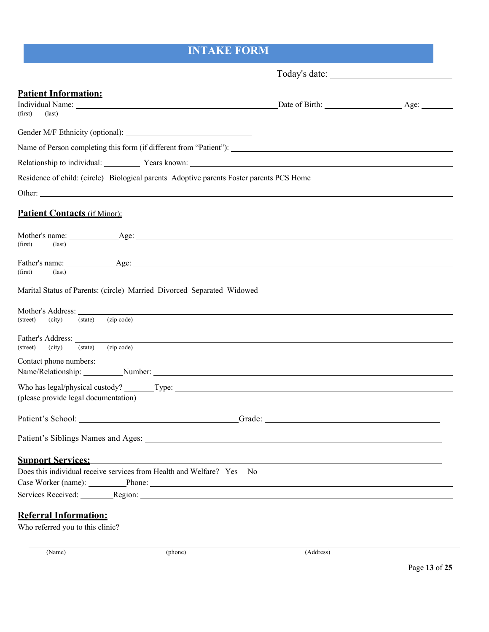# **INTAKE FORM**

| <b>Patient Information:</b><br>(first)<br>$\text{(last)}$                                                                                                                                                                                                                     | Date of Birth: Age:                                                                                                   |  |
|-------------------------------------------------------------------------------------------------------------------------------------------------------------------------------------------------------------------------------------------------------------------------------|-----------------------------------------------------------------------------------------------------------------------|--|
|                                                                                                                                                                                                                                                                               |                                                                                                                       |  |
| Name of Person completing this form (if different from "Patient"):                                                                                                                                                                                                            |                                                                                                                       |  |
| Relationship to individual: Years known: Years known:                                                                                                                                                                                                                         |                                                                                                                       |  |
| Residence of child: (circle) Biological parents Adoptive parents Foster parents PCS Home                                                                                                                                                                                      |                                                                                                                       |  |
|                                                                                                                                                                                                                                                                               |                                                                                                                       |  |
| <b>Patient Contacts (if Minor):</b>                                                                                                                                                                                                                                           |                                                                                                                       |  |
| $\text{(last)}$<br>(first)                                                                                                                                                                                                                                                    |                                                                                                                       |  |
| (first)<br>$\text{(last)}$                                                                                                                                                                                                                                                    |                                                                                                                       |  |
| Marital Status of Parents: (circle) Married Divorced Separated Widowed                                                                                                                                                                                                        |                                                                                                                       |  |
| (zip code)<br>(city)<br>(state)<br>(street)                                                                                                                                                                                                                                   |                                                                                                                       |  |
| Father's Address: Latin Contract Contract of the Contract of the Contract of the Contract of the Contract of the Contract of the Contract of the Contract of the Contract of the Contract of the Contract of the Contract of t<br>(zip code)<br>(city)<br>(state)<br>(street) |                                                                                                                       |  |
| Contact phone numbers:<br>Name/Relationship: Number: Number: Number: Number: Number: Number: Number: Number: Number: Number: Number: Number: Number: Number: Number: Number: Number: Number: Number: Number: Number: Number: Number: Number: Number: Num                      |                                                                                                                       |  |
|                                                                                                                                                                                                                                                                               |                                                                                                                       |  |
| (please provide legal documentation)                                                                                                                                                                                                                                          |                                                                                                                       |  |
| Patient's School: Cambridge Contact Contact Contact Contact Contact Contact Contact Contact Contact Contact Contact Contact Contact Contact Contact Contact Contact Contact Contact Contact Contact Contact Contact Contact Co                                                |                                                                                                                       |  |
|                                                                                                                                                                                                                                                                               |                                                                                                                       |  |
| <b>Support Services:</b>                                                                                                                                                                                                                                                      | <u> 1989 - Johann Stoff, deutscher Stoffen und der Stoffen und der Stoffen und der Stoffen und der Stoffen und de</u> |  |
| Does this individual receive services from Health and Welfare? Yes                                                                                                                                                                                                            | - No                                                                                                                  |  |
| Case Worker (name): Phone: Phone: 2008                                                                                                                                                                                                                                        |                                                                                                                       |  |
| Services Received: Region: Region: Region: Region: Region: Region: Region: Region: Region: Region: Region: Region: Region: Region: Region: Region: Region: Region: Region: Region: Region: Region: Region: Region: Region: Reg                                                |                                                                                                                       |  |
| <b>Referral Information:</b>                                                                                                                                                                                                                                                  |                                                                                                                       |  |

Who referred you to this clinic?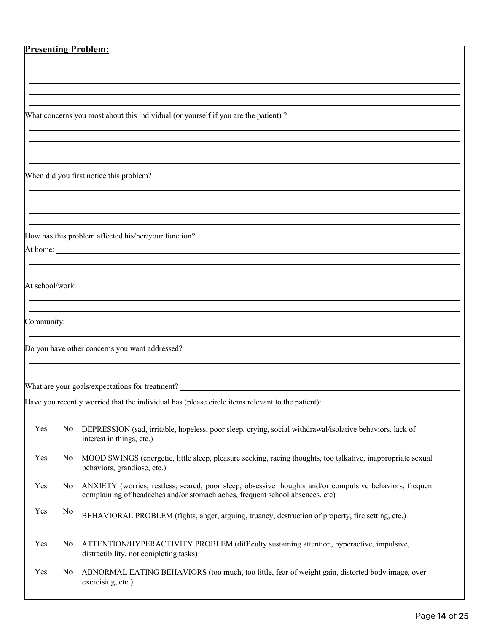#### **Presenting Problem:**

What concerns you most about this individual (or yourself if you are the patient) ?

When did you first notice this problem?

How has this problem affected his/her/your function? At home:

At school/work:

Community:

Do you have other concerns you want addressed?

What are your goals/expectations for treatment?

Have you recently worried that the individual has (please circle items relevant to the patient):

| Yes | No DEPRESSION (sad, irritable, hopeless, poor sleep, crying, social withdrawal/isolative behaviors, lack of |
|-----|-------------------------------------------------------------------------------------------------------------|
|     | interest in things, etc.)                                                                                   |

- Yes No MOOD SWINGS (energetic, little sleep, pleasure seeking, racing thoughts, too talkative, inappropriate sexual behaviors, grandiose, etc.)
- Yes No ANXIETY (worries, restless, scared, poor sleep, obsessive thoughts and/or compulsive behaviors, frequent complaining of headaches and/or stomach aches, frequent school absences, etc)
- Yes No BEHAVIORAL PROBLEM (fights, anger, arguing, truancy, destruction of property, fire setting, etc.)
- Yes No ATTENTION/HYPERACTIVITY PROBLEM (difficulty sustaining attention, hyperactive, impulsive, distractibility, not completing tasks)
- Yes No ABNORMAL EATING BEHAVIORS (too much, too little, fear of weight gain, distorted body image, over exercising, etc.)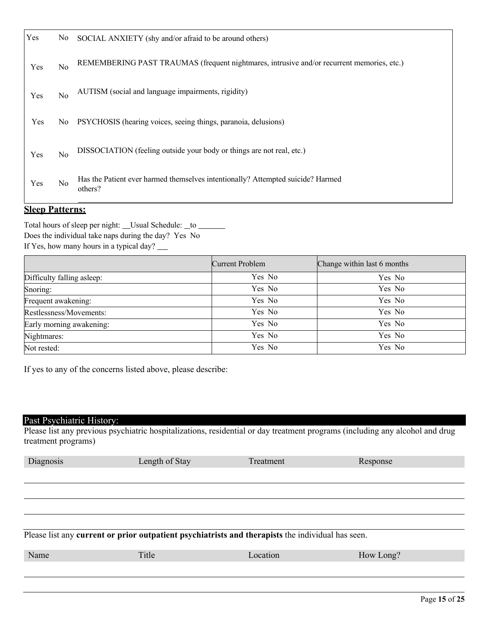| Yes | No. | SOCIAL ANXIETY (shy and/or afraid to be around others)                                     |
|-----|-----|--------------------------------------------------------------------------------------------|
| Yes | No  | REMEMBERING PAST TRAUMAS (frequent nightmares, intrusive and/or recurrent memories, etc.)  |
| Yes | No  | AUTISM (social and language impairments, rigidity)                                         |
| Yes | No. | PSYCHOSIS (hearing voices, seeing things, paranoia, delusions)                             |
| Yes | No  | DISSOCIATION (feeling outside your body or things are not real, etc.)                      |
| Yes | No  | Has the Patient ever harmed themselves intentionally? Attempted suicide? Harmed<br>others? |

#### **Sleep Patterns:**

Total hours of sleep per night: \_\_Usual Schedule: \_to \_ Does the individual take naps during the day? Yes No If Yes, how many hours in a typical day?

| Current Problem | Change within last 6 months |
|-----------------|-----------------------------|
| Yes No          | Yes No                      |
| Yes No          | Yes No                      |
| Yes No          | Yes No                      |
| Yes No          | Yes No                      |
| Yes No          | Yes No                      |
| Yes No          | Yes No                      |
| Yes No          | Yes No                      |
|                 |                             |

If yes to any of the concerns listed above, please describe:

## Past Psychiatric History:

Please list any previous psychiatric hospitalizations, residential or day treatment programs (including any alcohol and drug treatment programs)

| Diagnosis | Length of Stay                                                                                    | Treatment | Response  |  |
|-----------|---------------------------------------------------------------------------------------------------|-----------|-----------|--|
|           |                                                                                                   |           |           |  |
|           |                                                                                                   |           |           |  |
|           |                                                                                                   |           |           |  |
|           |                                                                                                   |           |           |  |
|           | Please list any current or prior outpatient psychiatrists and therapists the individual has seen. |           |           |  |
| Name      | Title                                                                                             | Location  | How Long? |  |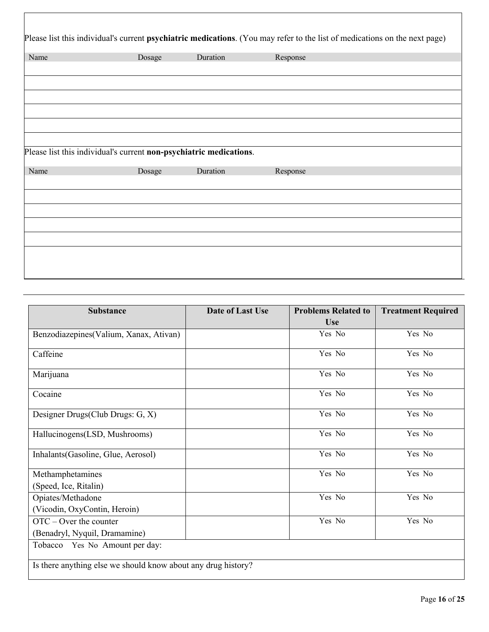| Name | Dosage                                                                       | Duration | Response |
|------|------------------------------------------------------------------------------|----------|----------|
|      |                                                                              |          |          |
|      |                                                                              |          |          |
|      |                                                                              |          |          |
|      |                                                                              |          |          |
|      | Please list this individual's current non-psychiatric medications.<br>Dosage | Duration | Response |
|      |                                                                              |          |          |
| Name |                                                                              |          |          |

| <b>Substance</b>                                                        | Date of Last Use | <b>Problems Related to</b><br><b>Use</b> | <b>Treatment Required</b> |
|-------------------------------------------------------------------------|------------------|------------------------------------------|---------------------------|
| Benzodiazepines (Valium, Xanax, Ativan)                                 |                  | Yes No                                   | Yes No                    |
| Caffeine                                                                |                  | Yes No                                   | Yes No                    |
| Marijuana                                                               |                  | Yes No                                   | Yes No                    |
| Cocaine                                                                 |                  | Yes No                                   | Yes No                    |
| Designer Drugs(Club Drugs: G, X)                                        |                  | Yes No                                   | Yes No                    |
| Hallucinogens(LSD, Mushrooms)                                           |                  | Yes No                                   | Yes No                    |
| Inhalants (Gasoline, Glue, Aerosol)                                     |                  | Yes No                                   | Yes No                    |
| Methamphetamines<br>(Speed, Ice, Ritalin)                               |                  | Yes No                                   | Yes No                    |
| Opiates/Methadone<br>(Vicodin, OxyContin, Heroin)                       |                  | Yes No                                   | Yes No                    |
| $\text{OTC} - \text{Over}$ the counter<br>(Benadryl, Nyquil, Dramamine) |                  | Yes No                                   | Yes No                    |
| Tobacco Yes No Amount per day:                                          |                  |                                          |                           |
| Is there anything else we should know about any drug history?           |                  |                                          |                           |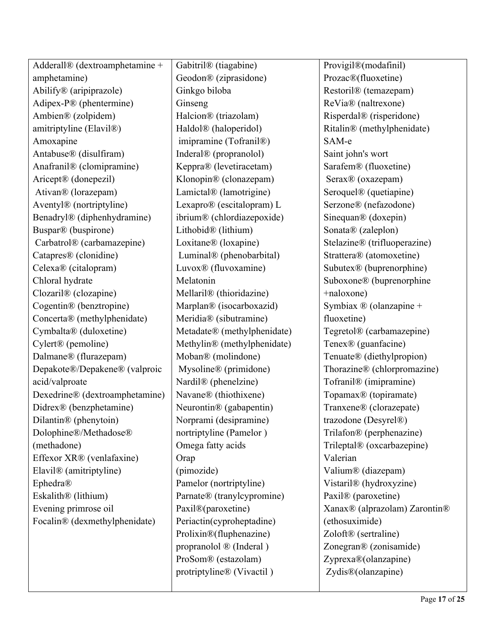| Adderall® (dextroamphetamine +       | Gabitril® (tiagabine)                | Provigil®(modafinil)                 |
|--------------------------------------|--------------------------------------|--------------------------------------|
| amphetamine)                         | Geodon® (ziprasidone)                | Prozac®(fluoxetine)                  |
| Abilify® (aripiprazole)              | Ginkgo biloba                        | Restoril <sup>®</sup> (temazepam)    |
| Adipex-P® (phentermine)              | Ginseng                              | ReVia® (naltrexone)                  |
| Ambien® (zolpidem)                   | Halcion® (triazolam)                 | Risperdal® (risperidone)             |
| amitriptyline (Elavil <sup>®</sup> ) | Haldol® (haloperidol)                | Ritalin® (methylphenidate)           |
| Amoxapine                            | imipramine (Tofranil®)               | SAM-e                                |
| Antabuse® (disulfiram)               | Inderal <sup>®</sup> (propranolol)   | Saint john's wort                    |
| Anafranil® (clomipramine)            | Keppra® (levetiracetam)              | Sarafem® (fluoxetine)                |
| Aricept® (donepezil)                 | Klonopin® (clonazepam)               | Serax® (oxazepam)                    |
| Ativan® (lorazepam)                  | Lamictal® (lamotrigine)              | Seroquel <sup>®</sup> (quetiapine)   |
| Aventyl® (nortriptyline)             | Lexapro® (escitalopram) L            | Serzone® (nefazodone)                |
| Benadryl® (diphenhydramine)          | ibrium® (chlordiazepoxide)           | Sinequan <sup>®</sup> (doxepin)      |
| Buspar® (buspirone)                  | Lithobid <sup>®</sup> (lithium)      | Sonata® (zaleplon)                   |
| Carbatrol® (carbamazepine)           | Loxitane® (loxapine)                 | Stelazine® (trifluoperazine)         |
| Catapres <sup>®</sup> (clonidine)    | Luminal® (phenobarbital)             | Strattera® (atomoxetine)             |
| Celexa® (citalopram)                 | Luvox® (fluvoxamine)                 | Subutex <sup>®</sup> (buprenorphine) |
| Chloral hydrate                      | Melatonin                            | Suboxone® (buprenorphine             |
| Clozaril® (clozapine)                | Mellaril <sup>®</sup> (thioridazine) | +naloxone)                           |
| Cogentin® (benztropine)              | Marplan® (isocarboxazid)             | Symbiax ® (olanzapine +              |
| Concerta® (methylphenidate)          | Meridia® (sibutramine)               | fluoxetine)                          |
| Cymbalta® (duloxetine)               | Metadate® (methylphenidate)          | Tegretol® (carbamazepine)            |
| Cylert <sup>®</sup> (pemoline)       | Methylin® (methylphenidate)          | Tenex® (guanfacine)                  |
| Dalmane® (flurazepam)                | Moban® (molindone)                   | Tenuate® (diethylpropion)            |
| Depakote®/Depakene® (valproic        | Mysoline® (primidone)                | Thorazine® (chlorpromazine)          |
| acid/valproate                       | Nardil® (phenelzine)                 | Tofranil® (imipramine)               |
| Dexedrine® (dextroamphetamine)       | Navane® (thiothixene)                | Topamax® (topiramate)                |
| Didrex® (benzphetamine)              | Neurontin® (gabapentin)              | Tranxene® (clorazepate)              |
| Dilantin® (phenytoin)                | Norprami (desipramine)               | trazodone (Desyrel®)                 |
| Dolophine®/Methadose®                | nortriptyline (Pamelor)              | Trilafon® (perphenazine)             |
| (methadone)                          | Omega fatty acids                    | Trileptal® (oxcarbazepine)           |
| Effexor XR® (venlafaxine)            | Orap                                 | Valerian                             |
| Elavil <sup>®</sup> (amitriptyline)  | (pimozide)                           | Valium® (diazepam)                   |
| Ephedra®                             | Pamelor (nortriptyline)              | Vistaril® (hydroxyzine)              |
| Eskalith <sup>®</sup> (lithium)      | Parnate® (tranylcypromine)           | Paxil® (paroxetine)                  |
| Evening primrose oil                 | Paxil®(paroxetine)                   | Xanax® (alprazolam) Zarontin®        |
| Focalin® (dexmethylphenidate)        | Periactin(cyproheptadine)            | (ethosuximide)                       |
|                                      | Prolixin®(fluphenazine)              | Zoloft® (sertraline)                 |
|                                      | propranolol ® (Inderal)              | Zonegran® (zonisamide)               |
|                                      | ProSom® (estazolam)                  | Zyprexa®(olanzapine)                 |
|                                      | protriptyline® (Vivactil)            | Zydis®(olanzapine)                   |
|                                      |                                      |                                      |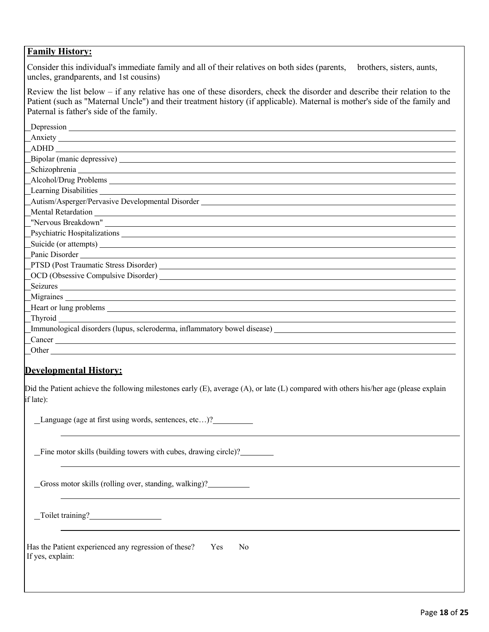## **Family History:**

Consider this individual's immediate family and all of their relatives on both sides (parents, brothers, sisters, aunts, uncles, grandparents, and 1st cousins)

Review the list below – if any relative has one of these disorders, check the disorder and describe their relation to the Patient (such as "Maternal Uncle") and their treatment history (if applicable). Maternal is mother's side of the family and Paternal is father's side of the family.

| Bipolar (manic depressive) Manual Assembly Dipolar (manic depressive)<br>Schizophrenia entre a contra contra a contra contra contra contra contra contra contra contra contra contra con                                       |
|--------------------------------------------------------------------------------------------------------------------------------------------------------------------------------------------------------------------------------|
|                                                                                                                                                                                                                                |
|                                                                                                                                                                                                                                |
|                                                                                                                                                                                                                                |
|                                                                                                                                                                                                                                |
|                                                                                                                                                                                                                                |
|                                                                                                                                                                                                                                |
| Autism/Asperger/Pervasive Developmental Disorder ________________________________                                                                                                                                              |
| Mental Retardation Contract of the Contract of the Contract of the Contract of the Contract of the Contract of the Contract of the Contract of the Contract of the Contract of the Contract of the Contract of the Contract of |
|                                                                                                                                                                                                                                |
|                                                                                                                                                                                                                                |
| Suicide (or attempts)                                                                                                                                                                                                          |
|                                                                                                                                                                                                                                |
|                                                                                                                                                                                                                                |
|                                                                                                                                                                                                                                |
| Seizures                                                                                                                                                                                                                       |
|                                                                                                                                                                                                                                |
|                                                                                                                                                                                                                                |
| <b>Thyroid</b>                                                                                                                                                                                                                 |
| Immunological disorders (lupus, scleroderma, inflammatory bowel disease)                                                                                                                                                       |
|                                                                                                                                                                                                                                |
|                                                                                                                                                                                                                                |

## **Developmental History:**

Did the Patient achieve the following milestones early (E), average (A), or late (L) compared with others his/her age (please explain if late):

Language (age at first using words, sentences, etc…)?

Fine motor skills (building towers with cubes, drawing circle)?

Gross motor skills (rolling over, standing, walking)?

Toilet training?

Has the Patient experienced any regression of these? Yes No If yes, explain: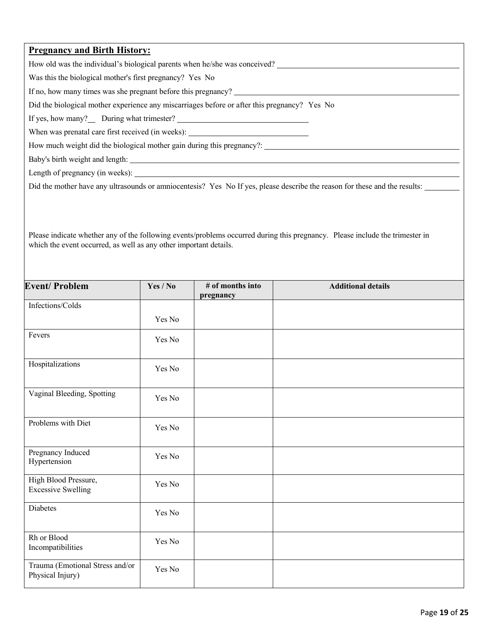#### **Pregnancy and Birth History:**

How old was the individual's biological parents when he/she was conceived?

Was this the biological mother's first pregnancy? Yes No

If no, how many times was she pregnant before this pregnancy?

Did the biological mother experience any miscarriages before or after this pregnancy? Yes No

If yes, how many?\_\_ During what trimester? \_\_\_\_\_

When was prenatal care first received (in weeks): \_\_\_\_\_\_\_\_\_\_\_\_\_\_\_\_\_\_\_\_\_\_\_\_\_\_\_\_\_\_\_

How much weight did the biological mother gain during this pregnancy?:

Baby's birth weight and length:

Length of pregnancy (in weeks):

Did the mother have any ultrasounds or amniocentesis? Yes No If yes, please describe the reason for these and the results:

Please indicate whether any of the following events/problems occurred during this pregnancy. Please include the trimester in which the event occurred, as well as any other important details.

| <b>Event/Problem</b>                                | Yes / No | # of months into<br>pregnancy | <b>Additional details</b> |
|-----------------------------------------------------|----------|-------------------------------|---------------------------|
| Infections/Colds                                    |          |                               |                           |
|                                                     | Yes No   |                               |                           |
| Fevers                                              | Yes No   |                               |                           |
| Hospitalizations                                    | Yes No   |                               |                           |
| Vaginal Bleeding, Spotting                          | Yes No   |                               |                           |
| Problems with Diet                                  | Yes No   |                               |                           |
| Pregnancy Induced<br>Hypertension                   | Yes No   |                               |                           |
| High Blood Pressure,<br><b>Excessive Swelling</b>   | Yes No   |                               |                           |
| <b>Diabetes</b>                                     | Yes No   |                               |                           |
| Rh or Blood<br>Incompatibilities                    | Yes No   |                               |                           |
| Trauma (Emotional Stress and/or<br>Physical Injury) | Yes No   |                               |                           |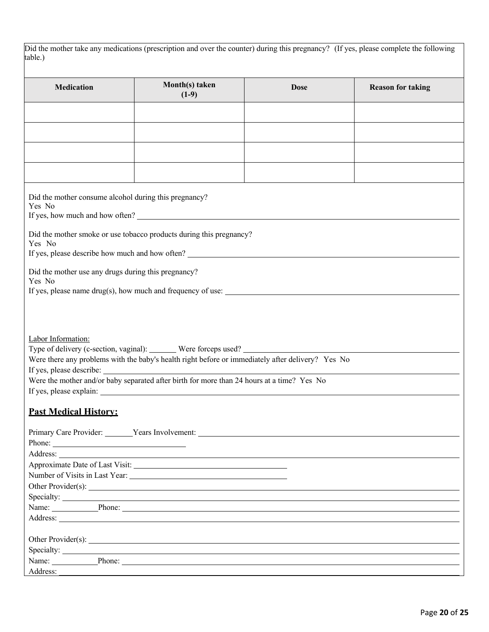| Did the mother take any medications (prescription and over the counter) during this pregnancy? (If yes, please complete the following |  |  |
|---------------------------------------------------------------------------------------------------------------------------------------|--|--|
| table.)                                                                                                                               |  |  |

| <b>Medication</b>                                             | Month(s) taken                                                                                                                                                                                                                 | <b>Dose</b>                                               | <b>Reason for taking</b> |  |  |  |  |  |  |
|---------------------------------------------------------------|--------------------------------------------------------------------------------------------------------------------------------------------------------------------------------------------------------------------------------|-----------------------------------------------------------|--------------------------|--|--|--|--|--|--|
|                                                               | $(1-9)$                                                                                                                                                                                                                        |                                                           |                          |  |  |  |  |  |  |
|                                                               |                                                                                                                                                                                                                                |                                                           |                          |  |  |  |  |  |  |
|                                                               |                                                                                                                                                                                                                                |                                                           |                          |  |  |  |  |  |  |
|                                                               |                                                                                                                                                                                                                                |                                                           |                          |  |  |  |  |  |  |
|                                                               |                                                                                                                                                                                                                                |                                                           |                          |  |  |  |  |  |  |
|                                                               |                                                                                                                                                                                                                                |                                                           |                          |  |  |  |  |  |  |
|                                                               |                                                                                                                                                                                                                                |                                                           |                          |  |  |  |  |  |  |
| Yes No<br>If yes, how much and how often?                     | Did the mother consume alcohol during this pregnancy?                                                                                                                                                                          |                                                           |                          |  |  |  |  |  |  |
|                                                               |                                                                                                                                                                                                                                |                                                           |                          |  |  |  |  |  |  |
| Yes No                                                        | Did the mother smoke or use tobacco products during this pregnancy?                                                                                                                                                            | If yes, please describe how much and how often?           |                          |  |  |  |  |  |  |
|                                                               |                                                                                                                                                                                                                                |                                                           |                          |  |  |  |  |  |  |
| Did the mother use any drugs during this pregnancy?<br>Yes No |                                                                                                                                                                                                                                |                                                           |                          |  |  |  |  |  |  |
|                                                               |                                                                                                                                                                                                                                |                                                           |                          |  |  |  |  |  |  |
|                                                               |                                                                                                                                                                                                                                |                                                           |                          |  |  |  |  |  |  |
|                                                               |                                                                                                                                                                                                                                |                                                           |                          |  |  |  |  |  |  |
|                                                               |                                                                                                                                                                                                                                |                                                           |                          |  |  |  |  |  |  |
| Labor Information:                                            |                                                                                                                                                                                                                                |                                                           |                          |  |  |  |  |  |  |
|                                                               |                                                                                                                                                                                                                                | Type of delivery (c-section, vaginal): Were forceps used? |                          |  |  |  |  |  |  |
|                                                               | Were there any problems with the baby's health right before or immediately after delivery? Yes No                                                                                                                              |                                                           |                          |  |  |  |  |  |  |
|                                                               | If yes, please describe:                                                                                                                                                                                                       |                                                           |                          |  |  |  |  |  |  |
|                                                               | Were the mother and/or baby separated after birth for more than 24 hours at a time? Yes No                                                                                                                                     |                                                           |                          |  |  |  |  |  |  |
|                                                               | If yes, please explain:                                                                                                                                                                                                        |                                                           |                          |  |  |  |  |  |  |
|                                                               |                                                                                                                                                                                                                                |                                                           |                          |  |  |  |  |  |  |
| <b>Past Medical History:</b>                                  |                                                                                                                                                                                                                                |                                                           |                          |  |  |  |  |  |  |
|                                                               | Primary Care Provider: Vears Involvement: Vears Involvement:                                                                                                                                                                   |                                                           |                          |  |  |  |  |  |  |
|                                                               |                                                                                                                                                                                                                                |                                                           |                          |  |  |  |  |  |  |
|                                                               |                                                                                                                                                                                                                                |                                                           |                          |  |  |  |  |  |  |
|                                                               |                                                                                                                                                                                                                                |                                                           |                          |  |  |  |  |  |  |
|                                                               |                                                                                                                                                                                                                                |                                                           |                          |  |  |  |  |  |  |
|                                                               |                                                                                                                                                                                                                                |                                                           |                          |  |  |  |  |  |  |
|                                                               |                                                                                                                                                                                                                                | Specialty:                                                |                          |  |  |  |  |  |  |
|                                                               | Name: Phone: Phone: Phone: Phone: Phone: Phone: Phone: Phone: Phone: Phone: Phone: Phone: Phone: Phone: Phone: Phone: Phone: Phone: Phone: Phone: Phone: Phone: Phone: Phone: Phone: Phone: Phone: Phone: Phone: Phone: Phone: |                                                           |                          |  |  |  |  |  |  |
|                                                               |                                                                                                                                                                                                                                |                                                           |                          |  |  |  |  |  |  |
|                                                               |                                                                                                                                                                                                                                |                                                           |                          |  |  |  |  |  |  |
|                                                               |                                                                                                                                                                                                                                |                                                           |                          |  |  |  |  |  |  |
|                                                               |                                                                                                                                                                                                                                |                                                           |                          |  |  |  |  |  |  |
| Address:                                                      | Name: Phone: Phone: Phone: Phone: Phone: Phone: Phone: Phone: Phone: Phone: Phone: Phone: Phone: Phone: Phone: Phone: Phone: Phone: Phone: Phone: Phone: Phone: Phone: Phone: Phone: Phone: Phone: Phone: Phone: Phone: Phone: |                                                           |                          |  |  |  |  |  |  |
|                                                               |                                                                                                                                                                                                                                |                                                           |                          |  |  |  |  |  |  |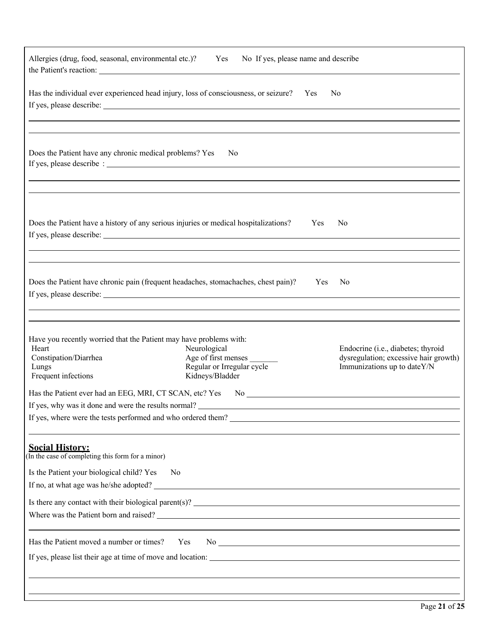|                                                                                                                                      | Allergies (drug, food, seasonal, environmental etc.)? Yes No If yes, please name and describe                                                                                                          |                                                                                                            |
|--------------------------------------------------------------------------------------------------------------------------------------|--------------------------------------------------------------------------------------------------------------------------------------------------------------------------------------------------------|------------------------------------------------------------------------------------------------------------|
|                                                                                                                                      | Has the individual ever experienced head injury, loss of consciousness, or seizure? Yes                                                                                                                | N <sub>o</sub>                                                                                             |
| Does the Patient have any chronic medical problems? Yes                                                                              | N <sub>o</sub>                                                                                                                                                                                         |                                                                                                            |
|                                                                                                                                      | Does the Patient have a history of any serious injuries or medical hospitalizations?<br>,我们也不会有什么?""我们的人,我们也不会有什么?""我们的人,我们也不会有什么?""我们的人,我们也不会有什么?""我们的人,我们也不会有什么?""我们的人                               | Yes<br>N <sub>o</sub>                                                                                      |
|                                                                                                                                      | Does the Patient have chronic pain (frequent headaches, stomachaches, chest pain)? Yes<br>If yes, please describe:<br>,我们也不会有什么。""我们的人,我们也不会有什么?""我们的人,我们也不会有什么?""我们的人,我们也不会有什么?""我们的人,我们也不会有什么?""我们的人 | N <sub>0</sub>                                                                                             |
| Have you recently worried that the Patient may have problems with:<br>Heart<br>Constipation/Diarrhea<br>Lungs<br>Frequent infections | ,我们也不会有什么。""我们的人,我们也不会有什么?""我们的人,我们也不会有什么?""我们的人,我们也不会有什么?""我们的人,我们也不会有什么?""我们的人<br>Neurological<br>Age of first menses<br>Regular or Irregular cycle<br>Kidneys/Bladder                               | Endocrine (i.e., diabetes; thyroid<br>dysregulation; excessive hair growth)<br>Immunizations up to dateY/N |
| Has the Patient ever had an EEG, MRI, CT SCAN, etc? Yes<br>If yes, why was it done and were the results normal?                      | If yes, where were the tests performed and who ordered them?                                                                                                                                           | No $\qquad \qquad$                                                                                         |
| <b>Social History:</b><br>(In the case of completing this form for a minor)<br>Is the Patient your biological child? Yes             | N <sub>o</sub>                                                                                                                                                                                         |                                                                                                            |
|                                                                                                                                      | Is there any contact with their biological parent(s)?                                                                                                                                                  |                                                                                                            |
| Has the Patient moved a number or times?                                                                                             | Yes                                                                                                                                                                                                    |                                                                                                            |
|                                                                                                                                      |                                                                                                                                                                                                        |                                                                                                            |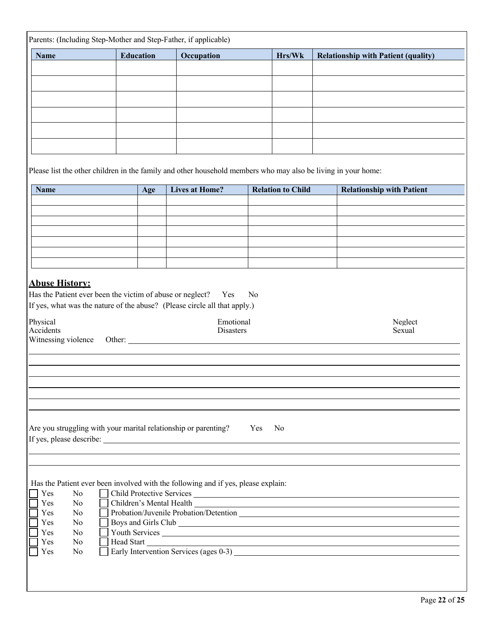|                                                               |        | <b>Education</b> | Occupation                                                                                                    |                | Hrs/Wk                   | <b>Relationship with Patient (quality)</b>                                                                                                                                                                                     |
|---------------------------------------------------------------|--------|------------------|---------------------------------------------------------------------------------------------------------------|----------------|--------------------------|--------------------------------------------------------------------------------------------------------------------------------------------------------------------------------------------------------------------------------|
|                                                               |        |                  |                                                                                                               |                |                          |                                                                                                                                                                                                                                |
|                                                               |        |                  |                                                                                                               |                |                          |                                                                                                                                                                                                                                |
|                                                               |        |                  |                                                                                                               |                |                          |                                                                                                                                                                                                                                |
|                                                               |        |                  |                                                                                                               |                |                          |                                                                                                                                                                                                                                |
|                                                               |        |                  |                                                                                                               |                |                          |                                                                                                                                                                                                                                |
|                                                               |        |                  |                                                                                                               |                |                          |                                                                                                                                                                                                                                |
|                                                               |        |                  |                                                                                                               |                |                          |                                                                                                                                                                                                                                |
|                                                               |        |                  | Please list the other children in the family and other household members who may also be living in your home: |                |                          |                                                                                                                                                                                                                                |
|                                                               |        |                  |                                                                                                               |                |                          |                                                                                                                                                                                                                                |
| <b>Name</b>                                                   |        | Age              | <b>Lives at Home?</b>                                                                                         |                | <b>Relation to Child</b> | <b>Relationship with Patient</b>                                                                                                                                                                                               |
|                                                               |        |                  |                                                                                                               |                |                          |                                                                                                                                                                                                                                |
|                                                               |        |                  |                                                                                                               |                |                          |                                                                                                                                                                                                                                |
|                                                               |        |                  |                                                                                                               |                |                          |                                                                                                                                                                                                                                |
|                                                               |        |                  |                                                                                                               |                |                          |                                                                                                                                                                                                                                |
|                                                               |        |                  |                                                                                                               |                |                          |                                                                                                                                                                                                                                |
|                                                               |        |                  |                                                                                                               |                |                          |                                                                                                                                                                                                                                |
| Has the Patient ever been the victim of abuse or neglect? Yes |        |                  | If yes, what was the nature of the abuse? (Please circle all that apply.)                                     | N <sub>0</sub> |                          |                                                                                                                                                                                                                                |
| Physical<br>Accidents                                         |        |                  | Emotional<br>Disasters                                                                                        |                |                          | Neglect<br>Sexual                                                                                                                                                                                                              |
| Witnessing violence                                           | Other: |                  |                                                                                                               |                |                          |                                                                                                                                                                                                                                |
|                                                               |        |                  |                                                                                                               |                |                          |                                                                                                                                                                                                                                |
|                                                               |        |                  |                                                                                                               |                |                          |                                                                                                                                                                                                                                |
|                                                               |        |                  |                                                                                                               |                |                          |                                                                                                                                                                                                                                |
|                                                               |        |                  |                                                                                                               |                |                          |                                                                                                                                                                                                                                |
|                                                               |        |                  |                                                                                                               |                |                          |                                                                                                                                                                                                                                |
|                                                               |        |                  | Are you struggling with your marital relationship or parenting?                                               | Yes            | No.                      |                                                                                                                                                                                                                                |
|                                                               |        |                  |                                                                                                               |                |                          |                                                                                                                                                                                                                                |
|                                                               |        |                  |                                                                                                               |                |                          |                                                                                                                                                                                                                                |
|                                                               |        |                  |                                                                                                               |                |                          |                                                                                                                                                                                                                                |
|                                                               |        |                  | Has the Patient ever been involved with the following and if yes, please explain:                             |                |                          |                                                                                                                                                                                                                                |
| Yes<br>No                                                     |        |                  | Child Protective Services                                                                                     |                |                          |                                                                                                                                                                                                                                |
| Yes<br>No<br>Yes<br>N <sub>o</sub>                            |        |                  |                                                                                                               |                |                          | Children's Mental Health Lease and South Art and South Art and South Art and South Art and South Art and South Art and South Art and South Art and South Art and South Art and Art and Art and Art and Art and Art and Art and |
| Yes<br>N <sub>o</sub>                                         |        |                  |                                                                                                               |                |                          |                                                                                                                                                                                                                                |
| Yes<br>N <sub>o</sub><br>Yes<br>N <sub>o</sub>                |        |                  | Youth Services                                                                                                |                |                          |                                                                                                                                                                                                                                |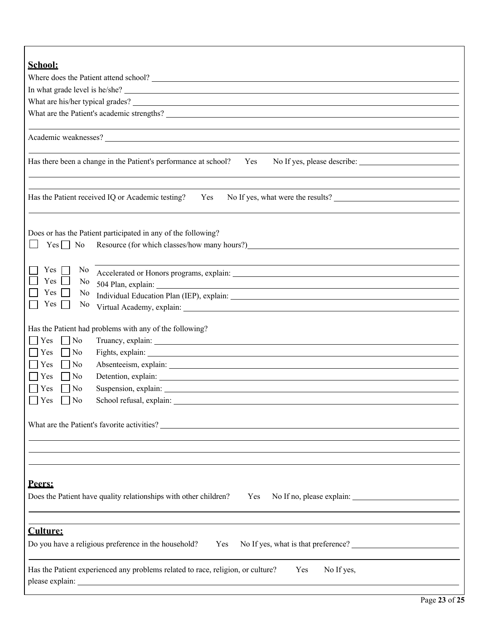| School:                                                                                                                                                                                                                                                 |  |  |  |  |  |  |
|---------------------------------------------------------------------------------------------------------------------------------------------------------------------------------------------------------------------------------------------------------|--|--|--|--|--|--|
|                                                                                                                                                                                                                                                         |  |  |  |  |  |  |
| In what grade level is he/she?                                                                                                                                                                                                                          |  |  |  |  |  |  |
|                                                                                                                                                                                                                                                         |  |  |  |  |  |  |
|                                                                                                                                                                                                                                                         |  |  |  |  |  |  |
|                                                                                                                                                                                                                                                         |  |  |  |  |  |  |
|                                                                                                                                                                                                                                                         |  |  |  |  |  |  |
|                                                                                                                                                                                                                                                         |  |  |  |  |  |  |
| Has there been a change in the Patient's performance at school?<br>No If yes, please describe:<br>Yes                                                                                                                                                   |  |  |  |  |  |  |
|                                                                                                                                                                                                                                                         |  |  |  |  |  |  |
|                                                                                                                                                                                                                                                         |  |  |  |  |  |  |
| No If yes, what were the results?<br>Has the Patient received IQ or Academic testing?<br>Yes                                                                                                                                                            |  |  |  |  |  |  |
|                                                                                                                                                                                                                                                         |  |  |  |  |  |  |
|                                                                                                                                                                                                                                                         |  |  |  |  |  |  |
| Does or has the Patient participated in any of the following?                                                                                                                                                                                           |  |  |  |  |  |  |
| $Yes \nightharpoonup No$                                                                                                                                                                                                                                |  |  |  |  |  |  |
|                                                                                                                                                                                                                                                         |  |  |  |  |  |  |
| Yes<br>N <sub>0</sub>                                                                                                                                                                                                                                   |  |  |  |  |  |  |
| Yes<br>No                                                                                                                                                                                                                                               |  |  |  |  |  |  |
| Yes<br>No                                                                                                                                                                                                                                               |  |  |  |  |  |  |
| Yes<br>N <sub>o</sub>                                                                                                                                                                                                                                   |  |  |  |  |  |  |
|                                                                                                                                                                                                                                                         |  |  |  |  |  |  |
| Has the Patient had problems with any of the following?                                                                                                                                                                                                 |  |  |  |  |  |  |
| $\overline{N}$<br>Yes                                                                                                                                                                                                                                   |  |  |  |  |  |  |
| No<br>Yes                                                                                                                                                                                                                                               |  |  |  |  |  |  |
| Absenteeism, explain: 1988. The contract of the contract of the contract of the contract of the contract of the contract of the contract of the contract of the contract of the contract of the contract of the contract of th<br>Yes<br>$\overline{N}$ |  |  |  |  |  |  |
| Detention, explain: Note and the set of the set of the set of the set of the set of the set of the set of the set of the set of the set of the set of the set of the set of the set of the set of the set of the set of the se<br>Yes<br>$\overline{N}$ |  |  |  |  |  |  |
| Yes<br>$ $ No                                                                                                                                                                                                                                           |  |  |  |  |  |  |
| $\Box$ Yes<br>N <sub>o</sub>                                                                                                                                                                                                                            |  |  |  |  |  |  |
|                                                                                                                                                                                                                                                         |  |  |  |  |  |  |
| What are the Patient's favorite activities?                                                                                                                                                                                                             |  |  |  |  |  |  |
|                                                                                                                                                                                                                                                         |  |  |  |  |  |  |
|                                                                                                                                                                                                                                                         |  |  |  |  |  |  |
|                                                                                                                                                                                                                                                         |  |  |  |  |  |  |
|                                                                                                                                                                                                                                                         |  |  |  |  |  |  |
| Peers:                                                                                                                                                                                                                                                  |  |  |  |  |  |  |
| Does the Patient have quality relationships with other children?<br>Yes                                                                                                                                                                                 |  |  |  |  |  |  |
|                                                                                                                                                                                                                                                         |  |  |  |  |  |  |
|                                                                                                                                                                                                                                                         |  |  |  |  |  |  |
| <b>Culture:</b>                                                                                                                                                                                                                                         |  |  |  |  |  |  |
| Do you have a religious preference in the household?<br>No If yes, what is that preference?<br>Yes                                                                                                                                                      |  |  |  |  |  |  |
|                                                                                                                                                                                                                                                         |  |  |  |  |  |  |
| Has the Patient experienced any problems related to race, religion, or culture?<br>No If yes,<br>Yes                                                                                                                                                    |  |  |  |  |  |  |
|                                                                                                                                                                                                                                                         |  |  |  |  |  |  |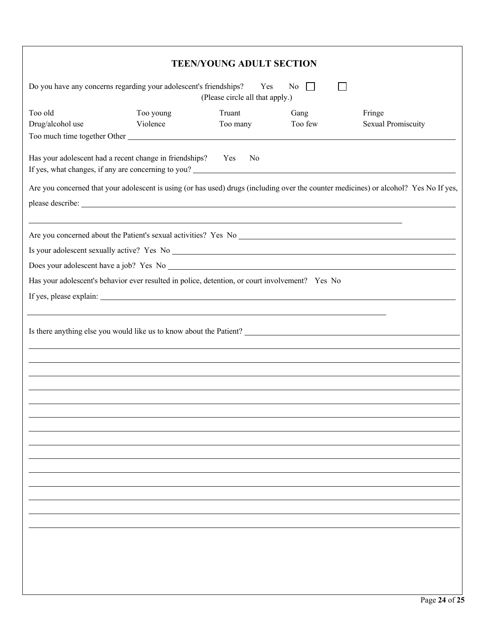|                                                                                                                                                                                                                                                                                                       |           | <b>TEEN/YOUNG ADULT SECTION</b> |         |                                                                                                                                       |  |  |  |
|-------------------------------------------------------------------------------------------------------------------------------------------------------------------------------------------------------------------------------------------------------------------------------------------------------|-----------|---------------------------------|---------|---------------------------------------------------------------------------------------------------------------------------------------|--|--|--|
| Do you have any concerns regarding your adolescent's friendships?<br>Yes<br>No.<br>$\perp$<br>(Please circle all that apply.)                                                                                                                                                                         |           |                                 |         |                                                                                                                                       |  |  |  |
| Too old                                                                                                                                                                                                                                                                                               | Too young | Truant                          | Gang    | Fringe                                                                                                                                |  |  |  |
| Drug/alcohol use<br>Too much time together Other                                                                                                                                                                                                                                                      | Violence  | Too many                        | Too few | <b>Sexual Promiscuity</b>                                                                                                             |  |  |  |
| Has your adolescent had a recent change in friendships? Yes<br>If yes, what changes, if any are concerning to you?<br><u>Letting the contract of the contract of the contract of the contract of the contract of the contract of the contract of the contract of the contract of the contract of </u> |           | No                              |         |                                                                                                                                       |  |  |  |
|                                                                                                                                                                                                                                                                                                       |           |                                 |         | Are you concerned that your adolescent is using (or has used) drugs (including over the counter medicines) or alcohol? Yes No If yes, |  |  |  |
|                                                                                                                                                                                                                                                                                                       |           |                                 |         |                                                                                                                                       |  |  |  |
|                                                                                                                                                                                                                                                                                                       |           |                                 |         |                                                                                                                                       |  |  |  |
|                                                                                                                                                                                                                                                                                                       |           |                                 |         |                                                                                                                                       |  |  |  |
|                                                                                                                                                                                                                                                                                                       |           |                                 |         |                                                                                                                                       |  |  |  |
| Has your adolescent's behavior ever resulted in police, detention, or court involvement? Yes No                                                                                                                                                                                                       |           |                                 |         |                                                                                                                                       |  |  |  |
|                                                                                                                                                                                                                                                                                                       |           |                                 |         |                                                                                                                                       |  |  |  |
|                                                                                                                                                                                                                                                                                                       |           |                                 |         |                                                                                                                                       |  |  |  |
|                                                                                                                                                                                                                                                                                                       |           |                                 |         | Is there anything else you would like us to know about the Patient?                                                                   |  |  |  |
|                                                                                                                                                                                                                                                                                                       |           |                                 |         |                                                                                                                                       |  |  |  |
|                                                                                                                                                                                                                                                                                                       |           |                                 |         |                                                                                                                                       |  |  |  |
|                                                                                                                                                                                                                                                                                                       |           |                                 |         |                                                                                                                                       |  |  |  |
|                                                                                                                                                                                                                                                                                                       |           |                                 |         |                                                                                                                                       |  |  |  |
|                                                                                                                                                                                                                                                                                                       |           |                                 |         |                                                                                                                                       |  |  |  |
|                                                                                                                                                                                                                                                                                                       |           |                                 |         |                                                                                                                                       |  |  |  |
|                                                                                                                                                                                                                                                                                                       |           |                                 |         |                                                                                                                                       |  |  |  |
|                                                                                                                                                                                                                                                                                                       |           |                                 |         |                                                                                                                                       |  |  |  |
|                                                                                                                                                                                                                                                                                                       |           |                                 |         |                                                                                                                                       |  |  |  |
|                                                                                                                                                                                                                                                                                                       |           |                                 |         |                                                                                                                                       |  |  |  |
|                                                                                                                                                                                                                                                                                                       |           |                                 |         |                                                                                                                                       |  |  |  |
|                                                                                                                                                                                                                                                                                                       |           |                                 |         |                                                                                                                                       |  |  |  |
|                                                                                                                                                                                                                                                                                                       |           |                                 |         |                                                                                                                                       |  |  |  |
|                                                                                                                                                                                                                                                                                                       |           |                                 |         |                                                                                                                                       |  |  |  |
|                                                                                                                                                                                                                                                                                                       |           |                                 |         |                                                                                                                                       |  |  |  |
|                                                                                                                                                                                                                                                                                                       |           |                                 |         |                                                                                                                                       |  |  |  |
|                                                                                                                                                                                                                                                                                                       |           |                                 |         |                                                                                                                                       |  |  |  |